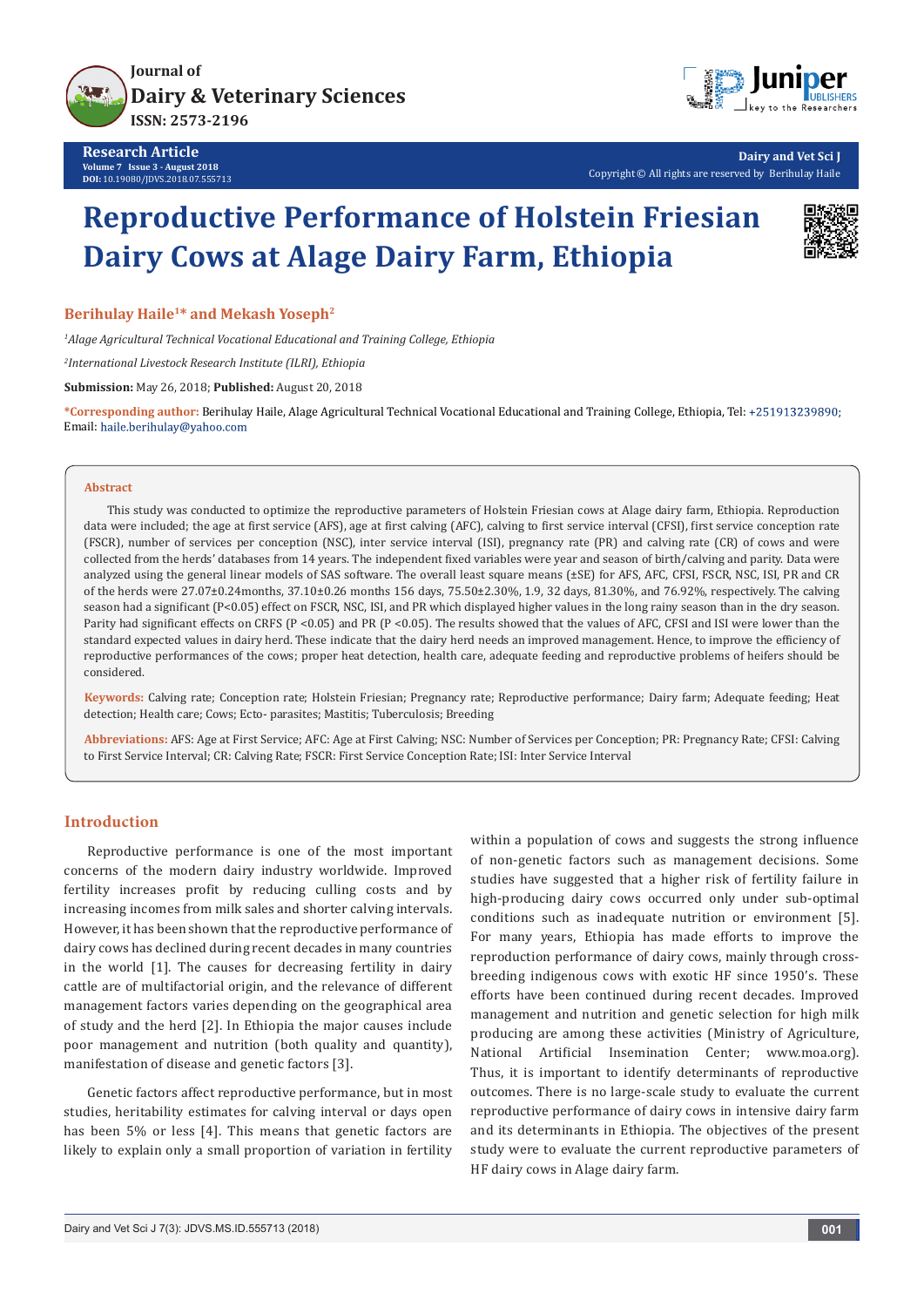



**Dairy and Vet Sci J** Copyright © All rights are reserved by Berihulay Haile

# **Reproductive Performance of Holstein Friesian Dairy Cows at Alage Dairy Farm, Ethiopia**



#### **Berihulay Haile1\* and Mekash Yoseph2**

*1 Alage Agricultural Technical Vocational Educational and Training College, Ethiopia*

*2 International Livestock Research Institute (ILRI), Ethiopia*

**Submission:** May 26, 2018; **Published:** August 20, 2018

**\*Corresponding author:** Berihulay Haile, Alage Agricultural Technical Vocational Educational and Training College, Ethiopia, Tel: Email: haile.berihulay@yahoo.com

#### **Abstract**

This study was conducted to optimize the reproductive parameters of Holstein Friesian cows at Alage dairy farm, Ethiopia. Reproduction data were included; the age at first service (AFS), age at first calving (AFC), calving to first service interval (CFSI), first service conception rate (FSCR), number of services per conception (NSC), inter service interval (ISI), pregnancy rate (PR) and calving rate (CR) of cows and were collected from the herds' databases from 14 years. The independent fixed variables were year and season of birth/calving and parity. Data were analyzed using the general linear models of SAS software. The overall least square means (±SE) for AFS, AFC, CFSI, FSCR, NSC, ISI, PR and CR of the herds were 27.07±0.24months, 37.10±0.26 months 156 days, 75.50±2.30%, 1.9, 32 days, 81.30%, and 76.92%, respectively. The calving season had a significant (P<0.05) effect on FSCR, NSC, ISI, and PR which displayed higher values in the long rainy season than in the dry season. Parity had significant effects on CRFS (P <0.05) and PR (P <0.05). The results showed that the values of AFC, CFSI and ISI were lower than the standard expected values in dairy herd. These indicate that the dairy herd needs an improved management. Hence, to improve the efficiency of reproductive performances of the cows; proper heat detection, health care, adequate feeding and reproductive problems of heifers should be considered.

**Keywords:** Calving rate; Conception rate; Holstein Friesian; Pregnancy rate; Reproductive performance; Dairy farm; Adequate feeding; Heat detection; Health care; Cows; Ecto- parasites; Mastitis; Tuberculosis; Breeding

**Abbreviations:** AFS: Age at First Service; AFC: Age at First Calving; NSC: Number of Services per Conception; PR: Pregnancy Rate; CFSI: Calving to First Service Interval; CR: Calving Rate; FSCR: First Service Conception Rate; ISI: Inter Service Interval

## **Introduction**

Reproductive performance is one of the most important concerns of the modern dairy industry worldwide. Improved fertility increases profit by reducing culling costs and by increasing incomes from milk sales and shorter calving intervals. However, it has been shown that the reproductive performance of dairy cows has declined during recent decades in many countries in the world [1]. The causes for decreasing fertility in dairy cattle are of multifactorial origin, and the relevance of different management factors varies depending on the geographical area of study and the herd [2]. In Ethiopia the major causes include poor management and nutrition (both quality and quantity), manifestation of disease and genetic factors [3].

Genetic factors affect reproductive performance, but in most studies, heritability estimates for calving interval or days open has been 5% or less [4]. This means that genetic factors are likely to explain only a small proportion of variation in fertility

within a population of cows and suggests the strong influence of non-genetic factors such as management decisions. Some studies have suggested that a higher risk of fertility failure in high-producing dairy cows occurred only under sub-optimal conditions such as inadequate nutrition or environment [5]. For many years, Ethiopia has made efforts to improve the reproduction performance of dairy cows, mainly through crossbreeding indigenous cows with exotic HF since 1950's. These efforts have been continued during recent decades. Improved management and nutrition and genetic selection for high milk producing are among these activities (Ministry of Agriculture, National Artificial Insemination Center; www.moa.org). Thus, it is important to identify determinants of reproductive outcomes. There is no large-scale study to evaluate the current reproductive performance of dairy cows in intensive dairy farm and its determinants in Ethiopia. The objectives of the present study were to evaluate the current reproductive parameters of HF dairy cows in Alage dairy farm.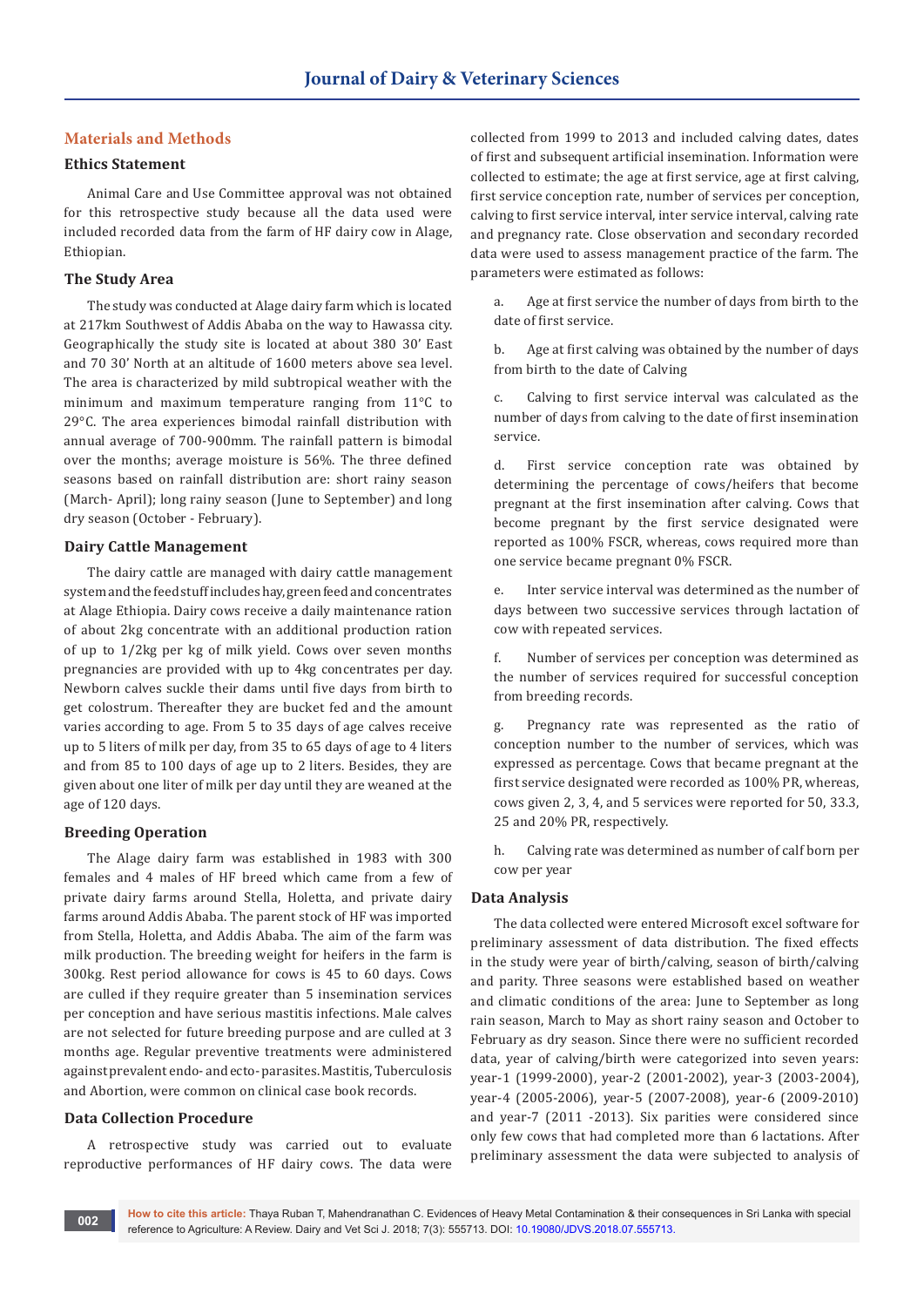# **Materials and Methods**

## **Ethics Statement**

Animal Care and Use Committee approval was not obtained for this retrospective study because all the data used were included recorded data from the farm of HF dairy cow in Alage, Ethiopian.

# **The Study Area**

The study was conducted at Alage dairy farm which is located at 217km Southwest of Addis Ababa on the way to Hawassa city. Geographically the study site is located at about 380 30' East and 70 30' North at an altitude of 1600 meters above sea level. The area is characterized by mild subtropical weather with the minimum and maximum temperature ranging from 11°C to 29°C. The area experiences bimodal rainfall distribution with annual average of 700-900mm. The rainfall pattern is bimodal over the months; average moisture is 56%. The three defined seasons based on rainfall distribution are: short rainy season (March- April); long rainy season (June to September) and long dry season (October - February).

## **Dairy Cattle Management**

The dairy cattle are managed with dairy cattle management system and the feed stuff includes hay, green feed and concentrates at Alage Ethiopia. Dairy cows receive a daily maintenance ration of about 2kg concentrate with an additional production ration of up to 1/2kg per kg of milk yield. Cows over seven months pregnancies are provided with up to 4kg concentrates per day. Newborn calves suckle their dams until five days from birth to get colostrum. Thereafter they are bucket fed and the amount varies according to age. From 5 to 35 days of age calves receive up to 5 liters of milk per day, from 35 to 65 days of age to 4 liters and from 85 to 100 days of age up to 2 liters. Besides, they are given about one liter of milk per day until they are weaned at the age of 120 days.

## **Breeding Operation**

The Alage dairy farm was established in 1983 with 300 females and 4 males of HF breed which came from a few of private dairy farms around Stella, Holetta, and private dairy farms around Addis Ababa. The parent stock of HF was imported from Stella, Holetta, and Addis Ababa. The aim of the farm was milk production. The breeding weight for heifers in the farm is 300kg. Rest period allowance for cows is 45 to 60 days. Cows are culled if they require greater than 5 insemination services per conception and have serious mastitis infections. Male calves are not selected for future breeding purpose and are culled at 3 months age. Regular preventive treatments were administered against prevalent endo- and ecto- parasites. Mastitis, Tuberculosis and Abortion, were common on clinical case book records.

## **Data Collection Procedure**

A retrospective study was carried out to evaluate reproductive performances of HF dairy cows. The data were collected from 1999 to 2013 and included calving dates, dates of first and subsequent artificial insemination. Information were collected to estimate; the age at first service, age at first calving, first service conception rate, number of services per conception, calving to first service interval, inter service interval, calving rate and pregnancy rate. Close observation and secondary recorded data were used to assess management practice of the farm. The parameters were estimated as follows:

a. Age at first service the number of days from birth to the date of first service.

b. Age at first calving was obtained by the number of days from birth to the date of Calving

c. Calving to first service interval was calculated as the number of days from calving to the date of first insemination service.

d. First service conception rate was obtained by determining the percentage of cows/heifers that become pregnant at the first insemination after calving. Cows that become pregnant by the first service designated were reported as 100% FSCR, whereas, cows required more than one service became pregnant 0% FSCR.

e. Inter service interval was determined as the number of days between two successive services through lactation of cow with repeated services.

f. Number of services per conception was determined as the number of services required for successful conception from breeding records.

g. Pregnancy rate was represented as the ratio of conception number to the number of services, which was expressed as percentage. Cows that became pregnant at the first service designated were recorded as 100% PR, whereas, cows given 2, 3, 4, and 5 services were reported for 50, 33.3, 25 and 20% PR, respectively.

h. Calving rate was determined as number of calf born per cow per year

## **Data Analysis**

The data collected were entered Microsoft excel software for preliminary assessment of data distribution. The fixed effects in the study were year of birth/calving, season of birth/calving and parity. Three seasons were established based on weather and climatic conditions of the area: June to September as long rain season, March to May as short rainy season and October to February as dry season. Since there were no sufficient recorded data, year of calving/birth were categorized into seven years: year-1 (1999-2000), year-2 (2001-2002), year-3 (2003-2004), year-4 (2005-2006), year-5 (2007-2008), year-6 (2009-2010) and year-7 (2011 -2013). Six parities were considered since only few cows that had completed more than 6 lactations. After preliminary assessment the data were subjected to analysis of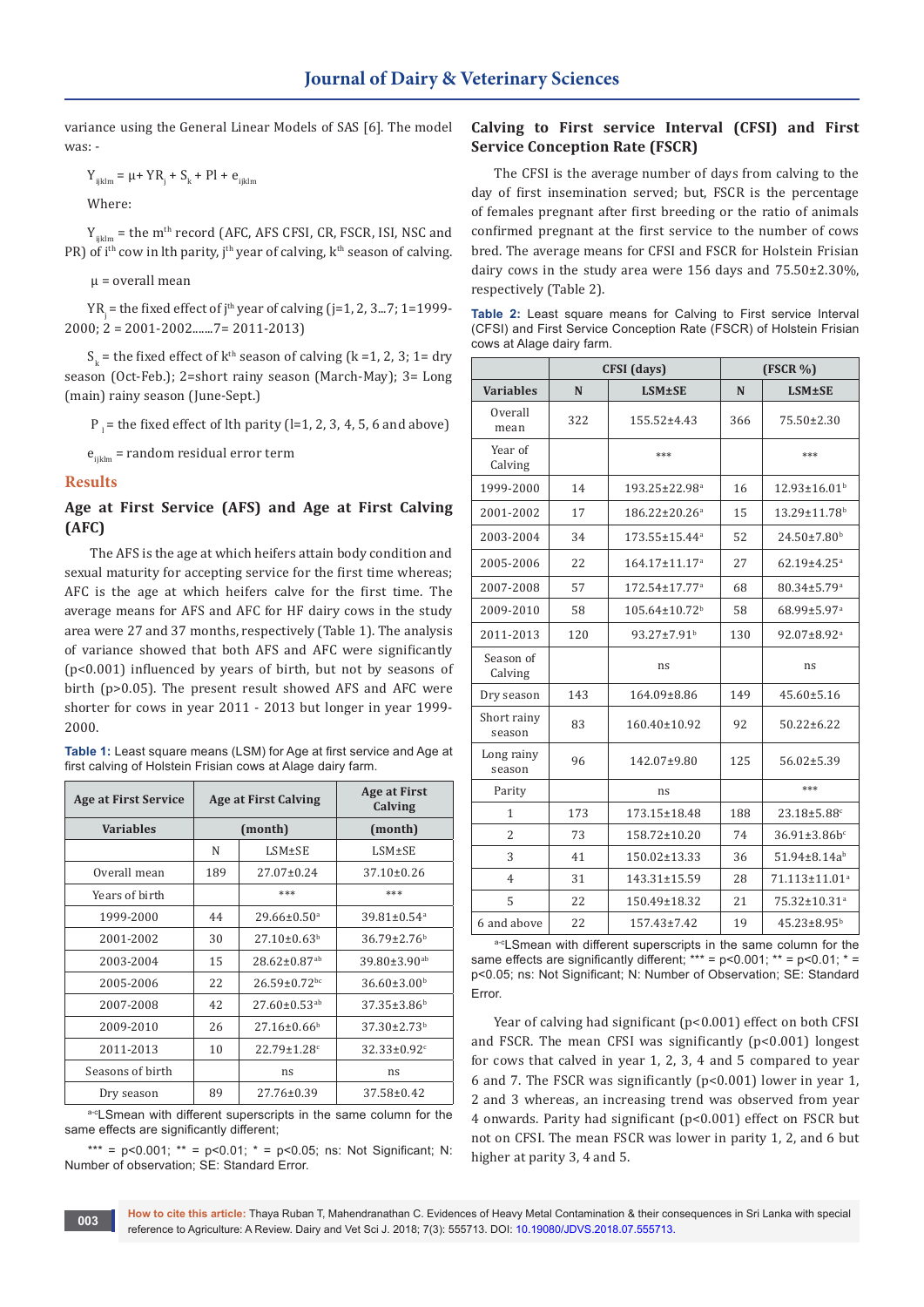variance using the General Linear Models of SAS [6]. The model was: -

 $Y_{ijklm} = \mu + YR_j + S_k + PI + e_{ijklm}$ 

Where:

 $Y_{ijklm}$  = the m<sup>th</sup> record (AFC, AFS CFSI, CR, FSCR, ISI, NSC and PR) of i<sup>th</sup> cow in lth parity, j<sup>th</sup> year of calving,  $k<sup>th</sup>$  season of calving.

 $\mu$  = overall mean

YR<sub>j</sub> = the fixed effect of j<sup>th</sup> year of calving (j=1, 2, 3...7; 1=1999-2000; 2 = 2001-2002.......7= 2011-2013)

 $S_k$  = the fixed effect of  $k<sup>th</sup>$  season of calving (k =1, 2, 3; 1= dry season (Oct-Feb.); 2=short rainy season (March-May); 3= Long (main) rainy season (June-Sept.)

 $P_1$  = the fixed effect of lth parity (l=1, 2, 3, 4, 5, 6 and above)

 $e_{i,j,km}$  = random residual error term

## **Results**

# **Age at First Service (AFS) and Age at First Calving (AFC)**

 The AFS is the age at which heifers attain body condition and sexual maturity for accepting service for the first time whereas; AFC is the age at which heifers calve for the first time. The average means for AFS and AFC for HF dairy cows in the study area were 27 and 37 months, respectively (Table 1). The analysis of variance showed that both AFS and AFC were significantly (p<0.001) influenced by years of birth, but not by seasons of birth (p>0.05). The present result showed AFS and AFC were shorter for cows in year 2011 - 2013 but longer in year 1999- 2000.

**Table 1:** Least square means (LSM) for Age at first service and Age at first calving of Holstein Frisian cows at Alage dairy farm.

| <b>Age at First Service</b> |                   | <b>Age at First Calving</b>    | <b>Age at First</b><br>Calving |
|-----------------------------|-------------------|--------------------------------|--------------------------------|
| <b>Variables</b>            |                   | (month)                        | (month)                        |
|                             | N<br>$LSM \pm SE$ |                                | $LSM \pm SE$                   |
| Overall mean                | 189               | $27.07 \pm 0.24$               | $37.10 \pm 0.26$               |
| Years of birth              |                   | ***                            | ***                            |
| 1999-2000                   | 44                | $29.66 \pm 0.50$ <sup>a</sup>  | $39.81 \pm 0.54$ <sup>a</sup>  |
| 2001-2002                   | 30                | $27.10\pm0.63^b$               | $36.79 \pm 2.76$ <sup>b</sup>  |
| 2003-2004                   | 15                | $28.62 \pm 0.87$ <sup>ab</sup> | $39.80 \pm 3.90$ <sup>ab</sup> |
| 2005-2006                   | 22                | $26.59 \pm 0.72$ bc            | $36.60 \pm 3.00^b$             |
| 2007-2008                   | 42                | $27.60 \pm 0.53$ <sup>ab</sup> | $37.35 \pm 3.86^b$             |
| 2009-2010                   | 26                | $27.16 \pm 0.66^b$             | $37.30 \pm 2.73$ <sup>b</sup>  |
| 2011-2013                   | 10                | $22.79 \pm 1.28$ c             | $32.33 \pm 0.92$ <sup>c</sup>  |
| Seasons of birth            | ns                |                                | ns                             |
| Dry season                  | 89                | 27.76±0.39                     | $37.58 \pm 0.42$               |

a-cLSmean with different superscripts in the same column for the same effects are significantly different;

\*\*\* =  $p < 0.001$ : \*\* =  $p < 0.01$ : \* =  $p < 0.05$ ; ns: Not Significant: N: Number of observation; SE: Standard Error.

# **Calving to First service Interval (CFSI) and First Service Conception Rate (FSCR)**

The CFSI is the average number of days from calving to the day of first insemination served; but, FSCR is the percentage of females pregnant after first breeding or the ratio of animals confirmed pregnant at the first service to the number of cows bred. The average means for CFSI and FSCR for Holstein Frisian dairy cows in the study area were 156 days and 75.50±2.30%, respectively (Table 2).

|  |                           |  |  | <b>Table 2:</b> Least square means for Calving to First service Interval |  |
|--|---------------------------|--|--|--------------------------------------------------------------------------|--|
|  |                           |  |  | (CFSI) and First Service Conception Rate (FSCR) of Holstein Frisian      |  |
|  | cows at Alage dairy farm. |  |  |                                                                          |  |

|                       |     | CFSI (days)                     | (FSCR %) |                                |  |
|-----------------------|-----|---------------------------------|----------|--------------------------------|--|
| <b>Variables</b>      | N   | $LSM\pm SE$                     | N        | <b>LSM±SE</b>                  |  |
| Overall<br>mean       | 322 | $155.52 \pm 4.43$               | 366      | 75.50±2.30                     |  |
| Year of<br>Calving    |     | ***                             |          | ***                            |  |
| 1999-2000             | 14  | 193.25±22.98 <sup>a</sup>       | 16       | $12.93 \pm 16.01$ <sup>b</sup> |  |
| 2001-2002             | 17  | 186.22±20.26 <sup>a</sup>       | 15       | $13.29 \pm 11.78$ <sup>b</sup> |  |
| 2003-2004             | 34  | 173.55±15.44 <sup>a</sup>       | 52       | 24.50±7.80 <sup>b</sup>        |  |
| 2005-2006             | 22  | 164.17±11.17 <sup>a</sup>       | 27       | $62.19 \pm 4.25$ <sup>a</sup>  |  |
| 2007-2008             | 57  | 172.54±17.77 <sup>a</sup>       | 68       | 80.34±5.79 <sup>a</sup>        |  |
| 2009-2010             | 58  | $105.64 \pm 10.72$ <sup>b</sup> | 58       | 68.99±5.97 <sup>a</sup>        |  |
| 2011-2013             | 120 | $93.27 \pm 7.91$ <sup>b</sup>   | 130      | 92.07±8.92 <sup>a</sup>        |  |
| Season of<br>Calving  |     | ns                              |          | ns                             |  |
| Dry season            | 143 | 164.09±8.86                     | 149      | 45.60±5.16                     |  |
| Short rainy<br>season | 83  | 160.40±10.92                    | 92       | $50.22 \pm 6.22$               |  |
| Long rainy<br>season  | 96  | 142.07±9.80                     | 125      | $56.02 \pm 5.39$               |  |
| Parity                |     | ns                              |          | ***                            |  |
| 1                     | 173 | 173.15±18.48                    | 188      | $23.18 \pm 5.88$ <sup>c</sup>  |  |
| $\overline{c}$        | 73  | 158.72±10.20                    | 74       | 36.91±3.86bc                   |  |
| 3                     | 41  | 150.02±13.33                    | 36       | 51.94±8.14ab                   |  |
| 4                     | 31  | 143.31±15.59                    | 28       | 71.113±11.01 <sup>a</sup>      |  |
| 5                     | 22  | 150.49±18.32                    | 21       | 75.32±10.31 <sup>a</sup>       |  |
| 6 and above           | 22  | $157.43 \pm 7.42$               | 19       | $45.23 \pm 8.95^b$             |  |

a-cLSmean with different superscripts in the same column for the same effects are significantly different; \*\*\* =  $p$ <0.001; \*\* =  $p$ <0.01; \* = p<0.05; ns: Not Significant; N: Number of Observation; SE: Standard Error.

Year of calving had significant (p<0.001) effect on both CFSI and FSCR. The mean CFSI was significantly (p<0.001) longest for cows that calved in year 1, 2, 3, 4 and 5 compared to year 6 and 7. The FSCR was significantly (p<0.001) lower in year 1, 2 and 3 whereas, an increasing trend was observed from year 4 onwards. Parity had significant (p<0.001) effect on FSCR but not on CFSI. The mean FSCR was lower in parity 1, 2, and 6 but higher at parity 3, 4 and 5.

**How to cite this article:** Thaya Ruban T, Mahendranathan C. Evidences of Heavy Metal Contamination & their consequences in Sri Lanka with special reference to Agriculture: A Review. Dairy and Vet Sci J. 2018; 7(3): 555713. DOI: [10.19080/JDVS.2018.07.555713.](http://dx.doi.org/10.19080/JDVS.2018.07.555713) **<sup>003</sup>**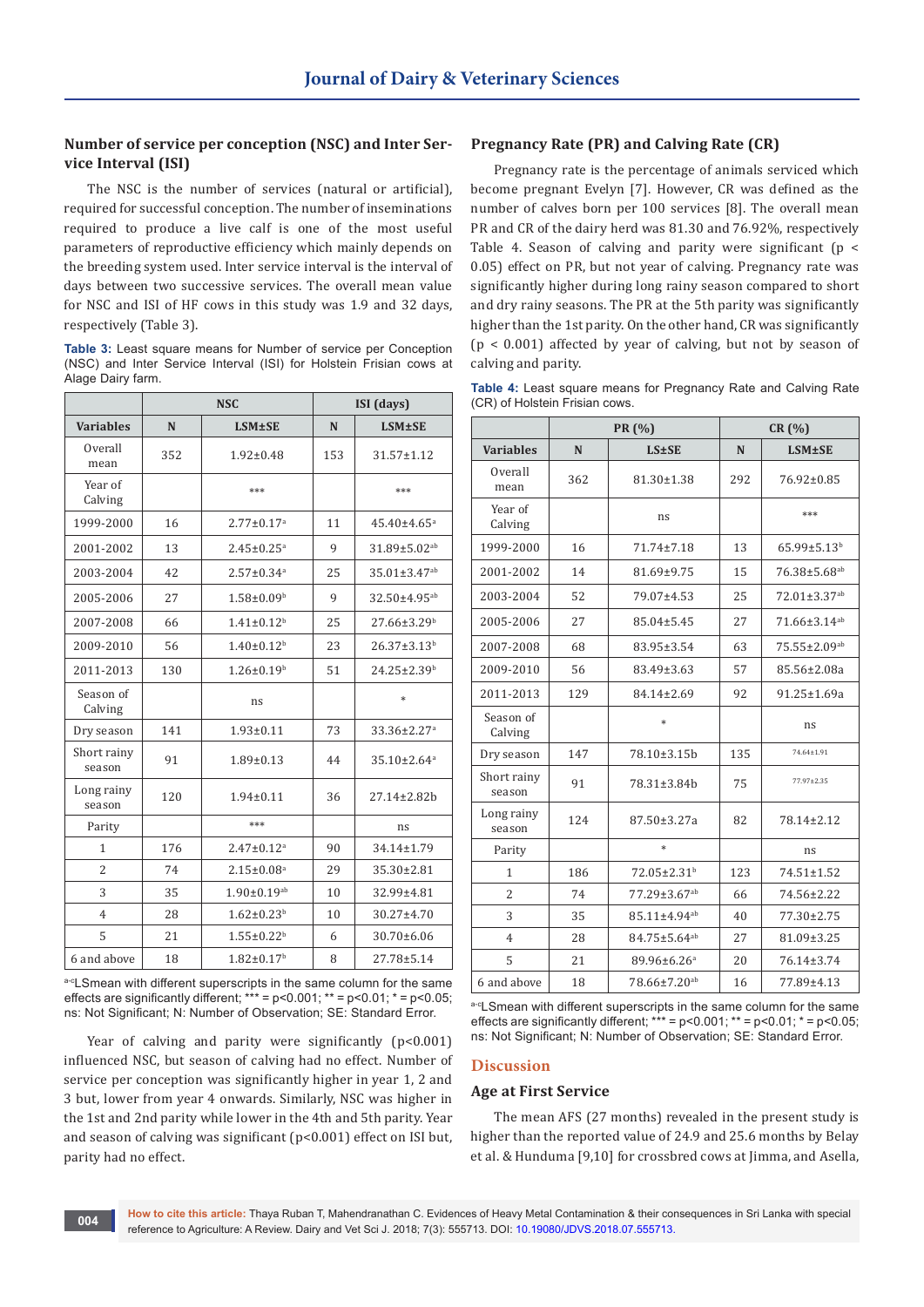# **Number of service per conception (NSC) and Inter Service Interval (ISI)**

The NSC is the number of services (natural or artificial), required for successful conception. The number of inseminations required to produce a live calf is one of the most useful parameters of reproductive efficiency which mainly depends on the breeding system used. Inter service interval is the interval of days between two successive services. The overall mean value for NSC and ISI of HF cows in this study was 1.9 and 32 days, respectively (Table 3).

**Table 3:** Least square means for Number of service per Conception (NSC) and Inter Service Interval (ISI) for Holstein Frisian cows at Alage Dairy farm.

|                       |     | <b>NSC</b>                   | ISI (days)   |                               |  |
|-----------------------|-----|------------------------------|--------------|-------------------------------|--|
| <b>Variables</b>      | N   | <b>LSM±SE</b>                | N            | <b>LSM±SE</b>                 |  |
| Overall<br>mean       | 352 | $1.92 \pm 0.48$              | 153          | 31.57±1.12                    |  |
| Year of<br>Calving    |     | ***                          |              | ***                           |  |
| 1999-2000             | 16  | $2.77 \pm 0.17$ <sup>a</sup> | 11           | $45.40 \pm 4.65$ <sup>a</sup> |  |
| 2001-2002             | 13  | $2.45 \pm 0.25$ <sup>a</sup> | $\mathbf{q}$ | 31.89±5.02 <sup>ab</sup>      |  |
| 2003-2004             | 42  | $2.57 \pm 0.34$ <sup>a</sup> | 25           | 35.01±3.47 <sup>ab</sup>      |  |
| 2005-2006             | 27  | $1.58 \pm 0.09^b$            | 9            | 32.50±4.95 <sup>ab</sup>      |  |
| 2007-2008             | 66  | $1.41 \pm 0.12$ <sup>b</sup> | 25           | 27.66±3.29 <sup>b</sup>       |  |
| 2009-2010             | 56  | $1.40 \pm 0.12^b$            | 23           | $26.37 \pm 3.13^b$            |  |
| 2011-2013             | 130 | $1.26 \pm 0.19^b$            | 51           | $24.25 \pm 2.39^b$            |  |
| Season of<br>Calving  |     | ns                           |              | $\ast$                        |  |
| Dry season            | 141 | $1.93 \pm 0.11$              | 73           | 33.36±2.27 <sup>a</sup>       |  |
| Short rainy<br>season | 91  | $1.89 \pm 0.13$              | 44           | $35.10 \pm 2.64$ <sup>a</sup> |  |
| Long rainy<br>season  | 120 | $1.94 \pm 0.11$              | 36           | 27.14±2.82h                   |  |
| Parity                |     | ***                          |              | ns                            |  |
| 1                     | 176 | $2.47 \pm 0.12$ <sup>a</sup> | 90           | 34.14±1.79                    |  |
| $\overline{c}$        | 74  | $2.15 \pm 0.08$ <sup>a</sup> | 29           | 35.30±2.81                    |  |
| 3                     | 35  | $1.90 \pm 0.19^{ab}$         | 10           | 32.99±4.81                    |  |
| $\overline{4}$        | 28  | $1.62 \pm 0.23$ <sup>b</sup> | 10           | 30.27±4.70                    |  |
| 5                     | 21  | $1.55 \pm 0.22$ <sup>b</sup> | 6            | 30.70±6.06                    |  |
| 6 and above           | 18  | $1.82 \pm 0.17$ <sup>b</sup> | 8            | 27.78±5.14                    |  |

a-cLSmean with different superscripts in the same column for the same effects are significantly different;  $*** = p < 0.001$ ;  $** = p < 0.01$ ;  $* = p < 0.05$ ; ns: Not Significant; N: Number of Observation; SE: Standard Error.

Year of calving and parity were significantly (p<0.001) influenced NSC, but season of calving had no effect. Number of service per conception was significantly higher in year 1, 2 and 3 but, lower from year 4 onwards. Similarly, NSC was higher in the 1st and 2nd parity while lower in the 4th and 5th parity. Year and season of calving was significant (p<0.001) effect on ISI but, parity had no effect.

# **Pregnancy Rate (PR) and Calving Rate (CR)**

Pregnancy rate is the percentage of animals serviced which become pregnant Evelyn [7]. However, CR was defined as the number of calves born per 100 services [8]. The overall mean PR and CR of the dairy herd was 81.30 and 76.92%, respectively Table 4. Season of calving and parity were significant ( $p \le$ 0.05) effect on PR, but not year of calving. Pregnancy rate was significantly higher during long rainy season compared to short and dry rainy seasons. The PR at the 5th parity was significantly higher than the 1st parity. On the other hand, CR was significantly  $(p < 0.001)$  affected by year of calving, but not by season of calving and parity.

**Table 4:** Least square means for Pregnancy Rate and Calving Rate (CR) of Holstein Frisian cows.

|                       | PR (%) |                          | CR (%)           |                          |  |
|-----------------------|--------|--------------------------|------------------|--------------------------|--|
| <b>Variables</b>      | N      | <b>LS±SE</b>             | N                | <b>LSM±SE</b>            |  |
| Overall<br>mean       | 362    | $81.30 \pm 1.38$         | 292              | 76.92±0.85               |  |
| Year of<br>Calving    |        | ns                       |                  | ***                      |  |
| 1999-2000             | 16     | 71.74±7.18               | 13               | 65.99±5.13 <sup>b</sup>  |  |
| 2001-2002             | 14     | 81.69±9.75<br>15         |                  | 76.38±5.68 <sup>ab</sup> |  |
| 2003-2004             | 52     | 79.07±4.53               | 25               | 72.01±3.37 <sup>ab</sup> |  |
| 2005-2006             | 27     | 85.04±5.45               | 27               | 71.66±3.14 <sup>ab</sup> |  |
| 2007-2008             | 68     | 83.95±3.54               | 63               | 75.55±2.09ab             |  |
| 2009-2010             | 56     | 83.49±3.63               | 57               | 85.56±2.08a              |  |
| 2011-2013             | 129    | 84.14±2.69               | 92               | $91.25 \pm 1.69a$        |  |
| Season of<br>Calving  |        | $\ast$                   |                  | ns                       |  |
| Dry season            | 147    | 78.10±3.15b              | 135              | 74.64±1.91               |  |
| Short rainy<br>season | 91     | 78.31±3.84b              | 75               | 77.97±2.35               |  |
| Long rainy<br>season  | 124    | 87.50±3.27a              | 82               | 78.14±2.12               |  |
| Parity                |        | $*$                      |                  | ns                       |  |
| 1                     | 186    | 72.05±2.31 <sup>b</sup>  | 123              | 74.51±1.52               |  |
| $\overline{c}$        | 74     | 77.29±3.67 <sup>ab</sup> | 66               | 74.56±2.22               |  |
| 3                     | 35     | 85.11±4.94 <sup>ab</sup> | 77.30±2.75<br>40 |                          |  |
| $\overline{4}$        | 28     | 84.75±5.64 <sup>ab</sup> | 81.09±3.25<br>27 |                          |  |
| 5                     | 21     | 89.96±6.26 <sup>a</sup>  | 20<br>76.14±3.74 |                          |  |
| 6 and above           | 18     | 78.66±7.20 <sup>ab</sup> | 16               | 77.89±4.13               |  |

a-cLSmean with different superscripts in the same column for the same effects are significantly different;  $*** = p<0.001$ ;  $** = p<0.01$ ;  $* = p<0.05$ ; ns: Not Significant; N: Number of Observation; SE: Standard Error.

# **Discussion**

## **Age at First Service**

The mean AFS (27 months) revealed in the present study is higher than the reported value of 24.9 and 25.6 months by Belay et al. & Hunduma [9,10] for crossbred cows at Jimma, and Asella,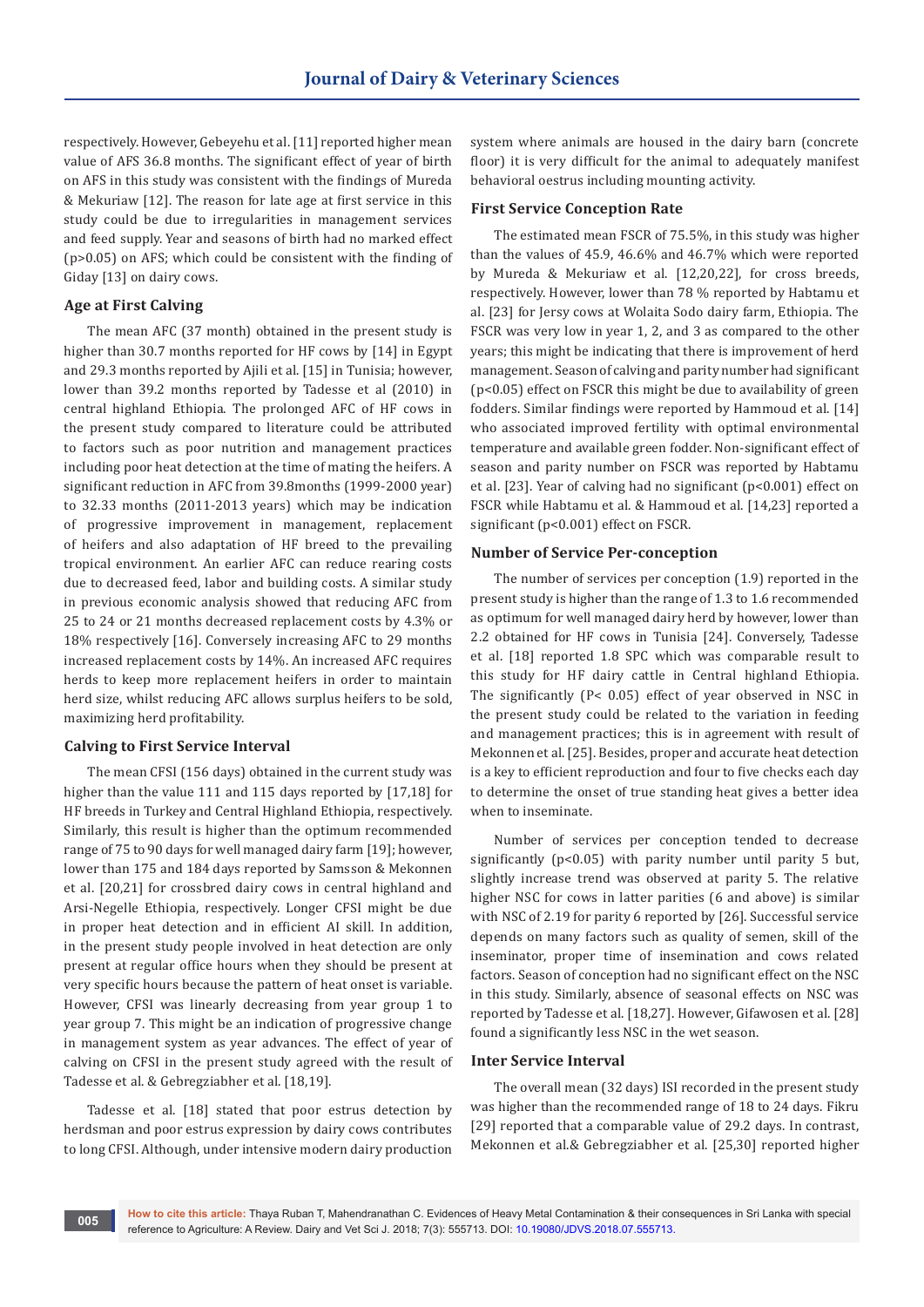respectively. However, Gebeyehu et al. [11] reported higher mean value of AFS 36.8 months. The significant effect of year of birth on AFS in this study was consistent with the findings of Mureda & Mekuriaw [12]. The reason for late age at first service in this study could be due to irregularities in management services and feed supply. Year and seasons of birth had no marked effect (p>0.05) on AFS; which could be consistent with the finding of Giday [13] on dairy cows.

## **Age at First Calving**

The mean AFC (37 month) obtained in the present study is higher than 30.7 months reported for HF cows by [14] in Egypt and 29.3 months reported by Ajili et al. [15] in Tunisia; however, lower than 39.2 months reported by Tadesse et al (2010) in central highland Ethiopia. The prolonged AFC of HF cows in the present study compared to literature could be attributed to factors such as poor nutrition and management practices including poor heat detection at the time of mating the heifers. A significant reduction in AFC from 39.8months (1999-2000 year) to 32.33 months (2011-2013 years) which may be indication of progressive improvement in management, replacement of heifers and also adaptation of HF breed to the prevailing tropical environment. An earlier AFC can reduce rearing costs due to decreased feed, labor and building costs. A similar study in previous economic analysis showed that reducing AFC from 25 to 24 or 21 months decreased replacement costs by 4.3% or 18% respectively [16]. Conversely increasing AFC to 29 months increased replacement costs by 14%. An increased AFC requires herds to keep more replacement heifers in order to maintain herd size, whilst reducing AFC allows surplus heifers to be sold, maximizing herd profitability.

## **Calving to First Service Interval**

The mean CFSI (156 days) obtained in the current study was higher than the value 111 and 115 days reported by [17,18] for HF breeds in Turkey and Central Highland Ethiopia, respectively. Similarly, this result is higher than the optimum recommended range of 75 to 90 days for well managed dairy farm [19]; however, lower than 175 and 184 days reported by Samsson & Mekonnen et al. [20,21] for crossbred dairy cows in central highland and Arsi-Negelle Ethiopia, respectively. Longer CFSI might be due in proper heat detection and in efficient AI skill. In addition, in the present study people involved in heat detection are only present at regular office hours when they should be present at very specific hours because the pattern of heat onset is variable. However, CFSI was linearly decreasing from year group 1 to year group 7. This might be an indication of progressive change in management system as year advances. The effect of year of calving on CFSI in the present study agreed with the result of Tadesse et al. & Gebregziabher et al. [18,19].

Tadesse et al. [18] stated that poor estrus detection by herdsman and poor estrus expression by dairy cows contributes to long CFSI. Although, under intensive modern dairy production system where animals are housed in the dairy barn (concrete floor) it is very difficult for the animal to adequately manifest behavioral oestrus including mounting activity.

# **First Service Conception Rate**

The estimated mean FSCR of 75.5%, in this study was higher than the values of 45.9, 46.6% and 46.7% which were reported by Mureda & Mekuriaw et al. [12,20,22], for cross breeds, respectively. However, lower than 78 % reported by Habtamu et al. [23] for Jersy cows at Wolaita Sodo dairy farm, Ethiopia. The FSCR was very low in year 1, 2, and 3 as compared to the other years; this might be indicating that there is improvement of herd management. Season of calving and parity number had significant (p<0.05) effect on FSCR this might be due to availability of green fodders. Similar findings were reported by Hammoud et al. [14] who associated improved fertility with optimal environmental temperature and available green fodder. Non-significant effect of season and parity number on FSCR was reported by Habtamu et al. [23]. Year of calving had no significant (p<0.001) effect on FSCR while Habtamu et al. & Hammoud et al. [14,23] reported a significant (p<0.001) effect on FSCR.

## **Number of Service Per-conception**

The number of services per conception (1.9) reported in the present study is higher than the range of 1.3 to 1.6 recommended as optimum for well managed dairy herd by however, lower than 2.2 obtained for HF cows in Tunisia [24]. Conversely, Tadesse et al. [18] reported 1.8 SPC which was comparable result to this study for HF dairy cattle in Central highland Ethiopia. The significantly (P< 0.05) effect of year observed in NSC in the present study could be related to the variation in feeding and management practices; this is in agreement with result of Mekonnen et al. [25]. Besides, proper and accurate heat detection is a key to efficient reproduction and four to five checks each day to determine the onset of true standing heat gives a better idea when to inseminate.

Number of services per conception tended to decrease significantly (p<0.05) with parity number until parity 5 but, slightly increase trend was observed at parity 5. The relative higher NSC for cows in latter parities (6 and above) is similar with NSC of 2.19 for parity 6 reported by [26]. Successful service depends on many factors such as quality of semen, skill of the inseminator, proper time of insemination and cows related factors. Season of conception had no significant effect on the NSC in this study. Similarly, absence of seasonal effects on NSC was reported by Tadesse et al. [18,27]. However, Gifawosen et al. [28] found a significantly less NSC in the wet season.

## **Inter Service Interval**

The overall mean (32 days) ISI recorded in the present study was higher than the recommended range of 18 to 24 days. Fikru [29] reported that a comparable value of 29.2 days. In contrast, Mekonnen et al.& Gebregziabher et al. [25,30] reported higher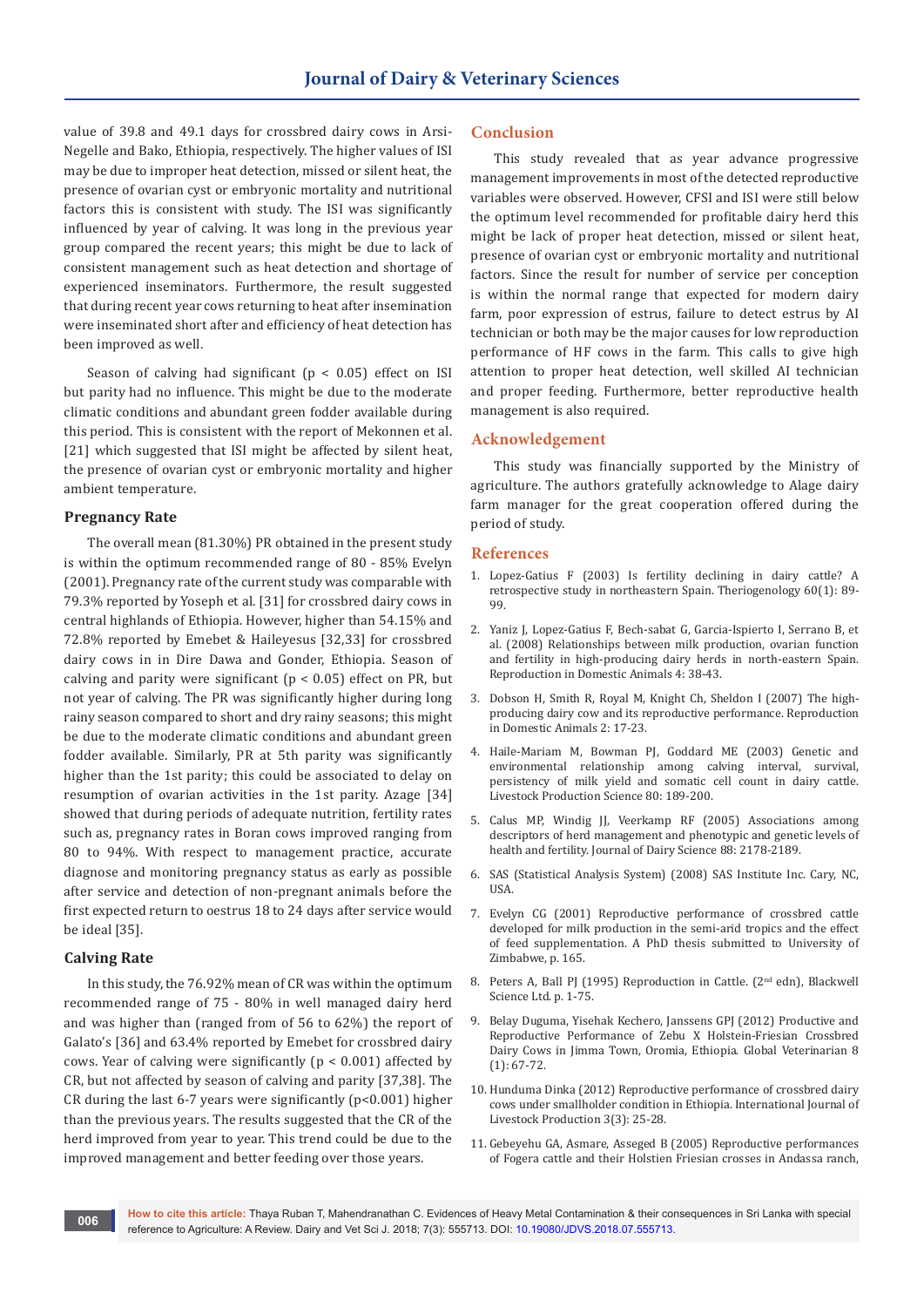value of 39.8 and 49.1 days for crossbred dairy cows in Arsi-Negelle and Bako, Ethiopia, respectively. The higher values of ISI may be due to improper heat detection, missed or silent heat, the presence of ovarian cyst or embryonic mortality and nutritional factors this is consistent with study. The ISI was significantly influenced by year of calving. It was long in the previous year group compared the recent years; this might be due to lack of consistent management such as heat detection and shortage of experienced inseminators. Furthermore, the result suggested that during recent year cows returning to heat after insemination were inseminated short after and efficiency of heat detection has been improved as well.

Season of calving had significant  $(p < 0.05)$  effect on ISI but parity had no influence. This might be due to the moderate climatic conditions and abundant green fodder available during this period. This is consistent with the report of Mekonnen et al. [21] which suggested that ISI might be affected by silent heat, the presence of ovarian cyst or embryonic mortality and higher ambient temperature.

## **Pregnancy Rate**

The overall mean (81.30%) PR obtained in the present study is within the optimum recommended range of 80 - 85% Evelyn (2001). Pregnancy rate of the current study was comparable with 79.3% reported by Yoseph et al. [31] for crossbred dairy cows in central highlands of Ethiopia. However, higher than 54.15% and 72.8% reported by Emebet & Haileyesus [32,33] for crossbred dairy cows in in Dire Dawa and Gonder, Ethiopia. Season of calving and parity were significant ( $p < 0.05$ ) effect on PR, but not year of calving. The PR was significantly higher during long rainy season compared to short and dry rainy seasons; this might be due to the moderate climatic conditions and abundant green fodder available. Similarly, PR at 5th parity was significantly higher than the 1st parity; this could be associated to delay on resumption of ovarian activities in the 1st parity. Azage [34] showed that during periods of adequate nutrition, fertility rates such as, pregnancy rates in Boran cows improved ranging from 80 to 94%. With respect to management practice, accurate diagnose and monitoring pregnancy status as early as possible after service and detection of non-pregnant animals before the first expected return to oestrus 18 to 24 days after service would be ideal [35].

## **Calving Rate**

In this study, the 76.92% mean of CR was within the optimum recommended range of 75 - 80% in well managed dairy herd and was higher than (ranged from of 56 to 62%) the report of Galato's [36] and 63.4% reported by Emebet for crossbred dairy cows. Year of calving were significantly ( $p < 0.001$ ) affected by CR, but not affected by season of calving and parity [37,38]. The CR during the last 6-7 years were significantly ( $p$ <0.001) higher than the previous years. The results suggested that the CR of the herd improved from year to year. This trend could be due to the improved management and better feeding over those years.

#### **Conclusion**

This study revealed that as year advance progressive management improvements in most of the detected reproductive variables were observed. However, CFSI and ISI were still below the optimum level recommended for profitable dairy herd this might be lack of proper heat detection, missed or silent heat, presence of ovarian cyst or embryonic mortality and nutritional factors. Since the result for number of service per conception is within the normal range that expected for modern dairy farm, poor expression of estrus, failure to detect estrus by AI technician or both may be the major causes for low reproduction performance of HF cows in the farm. This calls to give high attention to proper heat detection, well skilled AI technician and proper feeding. Furthermore, better reproductive health management is also required.

#### **Acknowledgement**

This study was financially supported by the Ministry of agriculture. The authors gratefully acknowledge to Alage dairy farm manager for the great cooperation offered during the period of study.

#### **References**

- 1. [Lopez-Gatius F \(2003\) Is fertility declining in dairy cattle? A](https://www.ncbi.nlm.nih.gov/pubmed/12620583)  [retrospective study in northeastern Spain. Theriogenology 60\(1\): 89-](https://www.ncbi.nlm.nih.gov/pubmed/12620583) [99.](https://www.ncbi.nlm.nih.gov/pubmed/12620583)
- 2. [Yaniz J, Lopez-Gatius F, Bech-sabat G, Garcia-Ispierto I, Serrano B, et](https://www.ncbi.nlm.nih.gov/pubmed/18803755)  [al. \(2008\) Relationships between milk production, ovarian function](https://www.ncbi.nlm.nih.gov/pubmed/18803755)  [and fertility in high-producing dairy herds in north-eastern Spain.](https://www.ncbi.nlm.nih.gov/pubmed/18803755)  [Reproduction in Domestic Animals 4: 38-43.](https://www.ncbi.nlm.nih.gov/pubmed/18803755)
- 3. [Dobson H, Smith R, Royal M, Knight Ch, Sheldon I \(2007\) The high](https://www.ncbi.nlm.nih.gov/pubmed/17688598)[producing dairy cow and its reproductive performance. Reproduction](https://www.ncbi.nlm.nih.gov/pubmed/17688598)  [in Domestic Animals 2: 17-23.](https://www.ncbi.nlm.nih.gov/pubmed/17688598)
- 4. [Haile-Mariam M, Bowman PJ, Goddard ME \(2003\) Genetic and](https://www.sciencedirect.com/science/article/pii/S0301622602001884)  [environmental relationship among calving interval, survival,](https://www.sciencedirect.com/science/article/pii/S0301622602001884)  [persistency of milk yield and somatic cell count in dairy cattle.](https://www.sciencedirect.com/science/article/pii/S0301622602001884)  [Livestock Production Science 80: 189-200.](https://www.sciencedirect.com/science/article/pii/S0301622602001884)
- 5. [Calus MP, Windig JJ, Veerkamp RF \(2005\) Associations among](https://www.ncbi.nlm.nih.gov/pubmed/15905447)  [descriptors of herd management and phenotypic and genetic levels of](https://www.ncbi.nlm.nih.gov/pubmed/15905447)  [health and fertility. Journal of Dairy Science 88: 2178-2189.](https://www.ncbi.nlm.nih.gov/pubmed/15905447)
- 6. SAS (Statistical Analysis System) (2008) SAS Institute Inc. Cary, NC, USA.
- 7. Evelyn CG (2001) Reproductive performance of crossbred cattle developed for milk production in the semi-arid tropics and the effect of feed supplementation. A PhD thesis submitted to University of Zimbabwe, p. 165.
- 8. Peters A, Ball PJ (1995) Reproduction in Cattle. (2<sup>nd</sup> edn), Blackwell Science Ltd. p. 1-75.
- 9. Belay Duguma, Yisehak Kechero, Janssens GPJ (2012) Productive and Reproductive Performance of Zebu X Holstein-Friesian Crossbred Dairy Cows in Jimma Town, Oromia, Ethiopia. Global Veterinarian 8 (1): 67-72.
- 10. [Hunduma Dinka \(2012\) Reproductive performance of crossbred dairy](http://www.academicjournals.org/article/article1379446194_Dinka.pdf)  [cows under smallholder condition in Ethiopia. International Journal of](http://www.academicjournals.org/article/article1379446194_Dinka.pdf)  [Livestock Production 3\(3\): 25-28.](http://www.academicjournals.org/article/article1379446194_Dinka.pdf)
- 11. Gebeyehu GA, Asmare, Asseged B (2005) Reproductive performances of Fogera cattle and their Holstien Friesian crosses in Andassa ranch,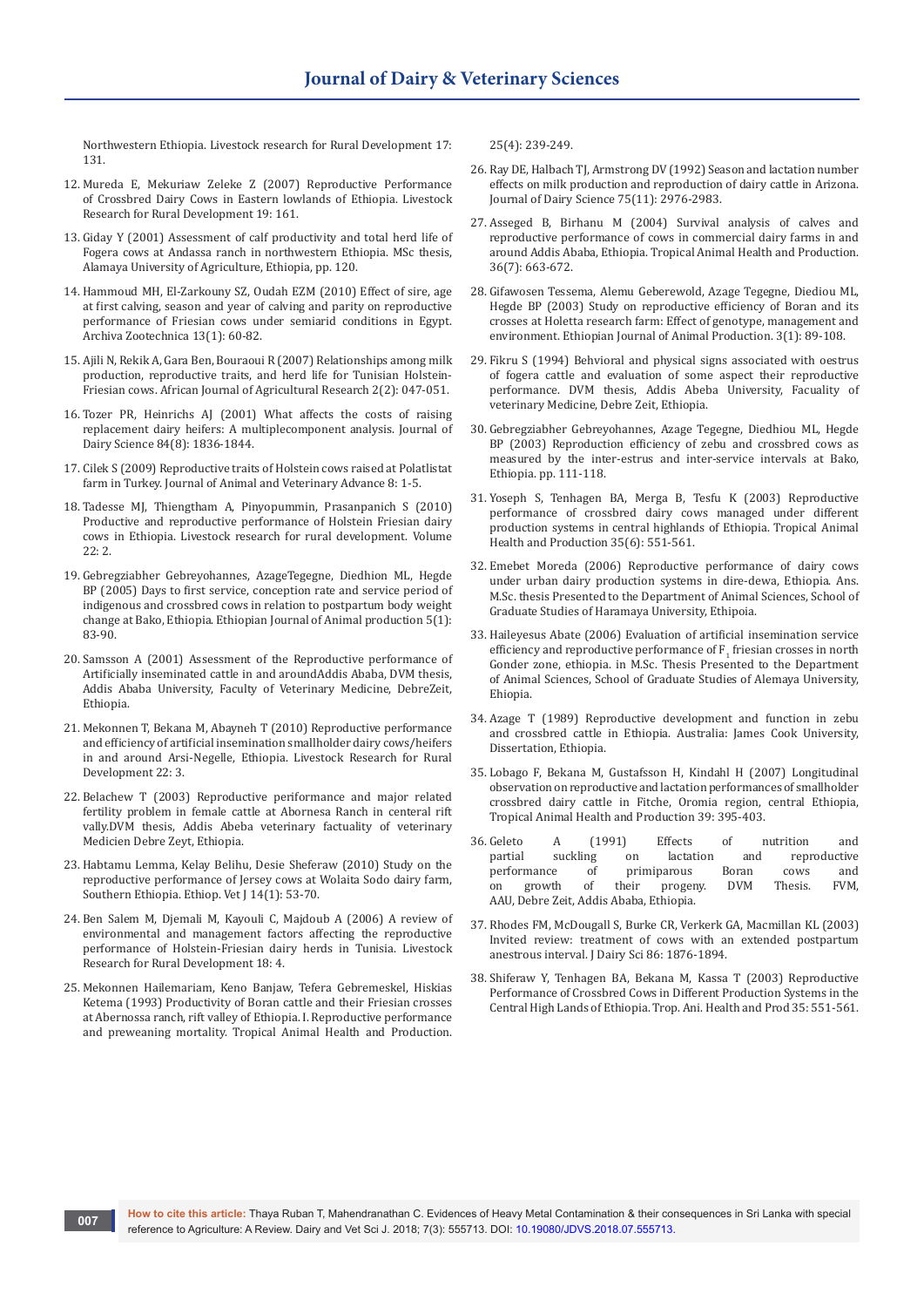Northwestern Ethiopia. Livestock research for Rural Development 17: 131.

- 12. Mureda E, Mekuriaw Zeleke Z (2007) Reproductive Performance of Crossbred Dairy Cows in Eastern lowlands of Ethiopia. Livestock Research for Rural Development 19: 161.
- 13. Giday Y (2001) Assessment of calf productivity and total herd life of Fogera cows at Andassa ranch in northwestern Ethiopia. MSc thesis, Alamaya University of Agriculture, Ethiopia, pp. 120.
- 14. Hammoud MH, El-Zarkouny SZ, Oudah EZM (2010) Effect of sire, age at first calving, season and year of calving and parity on reproductive performance of Friesian cows under semiarid conditions in Egypt. Archiva Zootechnica 13(1): 60-82.
- 15. Ajili N, Rekik A, Gara Ben, Bouraoui R (2007) Relationships among milk production, reproductive traits, and herd life for Tunisian Holstein-Friesian cows. African Journal of Agricultural Research 2(2): 047-051.
- 16. [Tozer PR, Heinrichs AJ \(2001\) What affects the costs of raising](https://www.ncbi.nlm.nih.gov/pubmed/11518308)  [replacement dairy heifers: A multiplecomponent analysis. Journal of](https://www.ncbi.nlm.nih.gov/pubmed/11518308)  [Dairy Science 84\(8\): 1836-1844.](https://www.ncbi.nlm.nih.gov/pubmed/11518308)
- 17. Cilek S (2009) Reproductive traits of Holstein cows raised at Polatlistat farm in Turkey. Journal of Animal and Veterinary Advance 8: 1-5.
- 18. Tadesse MJ, Thiengtham A, Pinyopummin, Prasanpanich S (2010) Productive and reproductive performance of Holstein Friesian dairy cows in Ethiopia. Livestock research for rural development. Volume 22: 2.
- 19. Gebregziabher Gebreyohannes, AzageTegegne, Diedhion ML, Hegde BP (2005) Days to first service, conception rate and service period of indigenous and crossbred cows in relation to postpartum body weight change at Bako, Ethiopia. Ethiopian Journal of Animal production 5(1): 83-90.
- 20. Samsson A (2001) Assessment of the Reproductive performance of Artificially inseminated cattle in and aroundAddis Ababa, DVM thesis, Addis Ababa University, Faculty of Veterinary Medicine, DebreZeit, Ethiopia.
- 21. Mekonnen T, Bekana M, Abayneh T (2010) Reproductive performance and efficiency of artificial insemination smallholder dairy cows/heifers in and around Arsi-Negelle, Ethiopia. Livestock Research for Rural Development 22: 3.
- 22. Belachew T (2003) Reproductive periformance and major related fertility problem in female cattle at Abornesa Ranch in centeral rift vally.DVM thesis, Addis Abeba veterinary factuality of veterinary Medicien Debre Zeyt, Ethiopia.
- 23. [Habtamu Lemma, Kelay Belihu, Desie Sheferaw \(2010\) Study on the](https://www.ajol.info/index.php/evj/article/view/63869)  [reproductive performance of Jersey cows at Wolaita Sodo dairy farm,](https://www.ajol.info/index.php/evj/article/view/63869)  [Southern Ethiopia. Ethiop. Vet J 14\(1\): 53-70.](https://www.ajol.info/index.php/evj/article/view/63869)
- 24. Ben Salem M, Djemali M, Kayouli C, Majdoub A (2006) A review of environmental and management factors affecting the reproductive performance of Holstein-Friesian dairy herds in Tunisia. Livestock Research for Rural Development 18: 4.
- 25. [Mekonnen Hailemariam, Keno Banjaw, Tefera Gebremeskel, Hiskias](https://www.ncbi.nlm.nih.gov/pubmed/8109059)  [Ketema \(1993\) Productivity of Boran cattle and their Friesian crosses](https://www.ncbi.nlm.nih.gov/pubmed/8109059)  [at Abernossa ranch, rift valley of Ethiopia. I. Reproductive performance](https://www.ncbi.nlm.nih.gov/pubmed/8109059)  [and preweaning mortality. Tropical Animal Health and Production.](https://www.ncbi.nlm.nih.gov/pubmed/8109059)

[25\(4\): 239-249.](https://www.ncbi.nlm.nih.gov/pubmed/8109059)

- 26. [Ray DE, Halbach TJ, Armstrong DV \(1992\) Season and lactation number](https://www.ncbi.nlm.nih.gov/pubmed/1460129)  [effects on milk production and reproduction of dairy cattle in Arizona.](https://www.ncbi.nlm.nih.gov/pubmed/1460129)  [Journal of Dairy Science 75\(11\): 2976-2983.](https://www.ncbi.nlm.nih.gov/pubmed/1460129)
- 27. [Asseged B, Birhanu M \(2004\) Survival analysis of calves and](https://www.ncbi.nlm.nih.gov/pubmed/15563027)  [reproductive performance of cows in commercial dairy farms in and](https://www.ncbi.nlm.nih.gov/pubmed/15563027)  [around Addis Ababa, Ethiopia. Tropical Animal Health and Production.](https://www.ncbi.nlm.nih.gov/pubmed/15563027)  [36\(7\): 663-672.](https://www.ncbi.nlm.nih.gov/pubmed/15563027)
- 28. Gifawosen Tessema, Alemu Geberewold, Azage Tegegne, Diediou ML, Hegde BP (2003) Study on reproductive efficiency of Boran and its crosses at Holetta research farm: Effect of genotype, management and environment. Ethiopian Journal of Animal Production. 3(1): 89-108.
- 29. Fikru S (1994) Behvioral and physical signs associated with oestrus of fogera cattle and evaluation of some aspect their reproductive performance. DVM thesis, Addis Abeba University, Facuality of veterinary Medicine, Debre Zeit, Ethiopia.
- 30. Gebregziabher Gebreyohannes, Azage Tegegne, Diedhiou ML, Hegde BP (2003) Reproduction efficiency of zebu and crossbred cows as measured by the inter-estrus and inter-service intervals at Bako, Ethiopia. pp. 111-118.
- 31. Yoseph S, Tenhagen BA, Merga B, Tesfu K (2003) Reproductive performance of crossbred dairy cows managed under different production systems in central highlands of Ethiopia. Tropical Animal Health and Production 35(6): 551-561.
- 32. Emebet Moreda (2006) Reproductive performance of dairy cows under urban dairy production systems in dire-dewa, Ethiopia. Ans. M.Sc. thesis Presented to the Department of Animal Sciences, School of Graduate Studies of Haramaya University, Ethipoia.
- 33. Haileyesus Abate (2006) Evaluation of artificial insemination service efficiency and reproductive performance of  $F_1$  friesian crosses in north Gonder zone, ethiopia. in M.Sc. Thesis Presented to the Department of Animal Sciences, School of Graduate Studies of Alemaya University, Ehiopia.
- 34. Azage T (1989) Reproductive development and function in zebu and crossbred cattle in Ethiopia. Australia: James Cook University, Dissertation, Ethiopia.
- 35. Lobago F, Bekana M, Gustafsson H, Kindahl H (2007) Longitudinal observation on reproductive and lactation performances of smallholder crossbred dairy cattle in Fitche, Oromia region, central Ethiopia, Tropical Animal Health and Production 39: 395-403.
- 36. Geleto A (1991) Effects of nutrition and partial suckling on lactation and reproductive<br>performance of primiparous Boran cows and performance of pri<br>on growth of their on growth of their progeny. DVM Thesis. FVM, AAU, Debre Zeit, Addis Ababa, Ethiopia.
- 37. Rhodes FM, McDougall S, Burke CR, Verkerk GA, Macmillan KL (2003) Invited review: treatment of cows with an extended postpartum anestrous interval. J Dairy Sci 86: 1876-1894.
- 38. Shiferaw Y, Tenhagen BA, Bekana M, Kassa T (2003) Reproductive Performance of Crossbred Cows in Different Production Systems in the Central High Lands of Ethiopia. Trop. Ani. Health and Prod 35: 551-561.